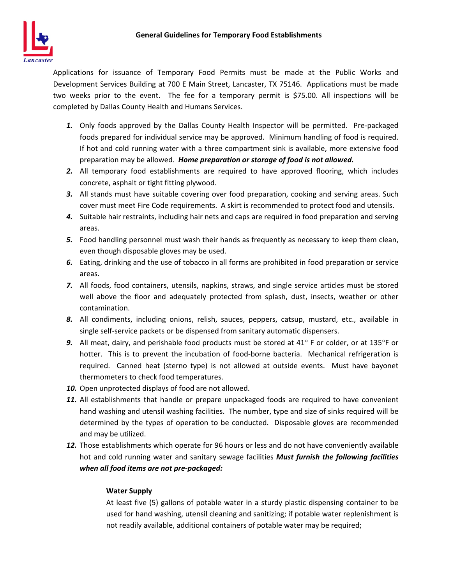Applications for issuance of Temporary Food Permits must be made at the Public Works and Development Services Building at 700 E Main Street, Lancaster, TX 75146. Applications must be made two weeks prior to the event. The fee for a temporary permit is \$75.00. All inspections will be completed by Dallas County Health and Humans Services.

- 1. Only foods approved by the Dallas County Health Inspector will be permitted. Pre-packaged foods prepared for individual service may be approved. Minimum handling of food is required. If hot and cold running water with a three compartment sink is available, more extensive food preparation may be allowed. *Home preparation or storage of food is not allowed.*
- *2.* All temporary food establishments are required to have approved flooring, which includes concrete, asphalt or tight fitting plywood.
- *3.* All stands must have suitable covering over food preparation, cooking and serving areas. Such cover must meet Fire Code requirements. A skirt is recommended to protect food and utensils.
- *4.* Suitable hair restraints, including hair nets and caps are required in food preparation and serving areas.
- *5.* Food handling personnel must wash their hands as frequently as necessary to keep them clean, even though disposable gloves may be used.
- *6.* Eating, drinking and the use of tobacco in all forms are prohibited in food preparation or service areas.
- *7.* All foods, food containers, utensils, napkins, straws, and single service articles must be stored well above the floor and adequately protected from splash, dust, insects, weather or other contamination.
- *8.* All condiments, including onions, relish, sauces, peppers, catsup, mustard, etc., available in single self‐service packets or be dispensed from sanitary automatic dispensers.
- **9.** All meat, dairy, and perishable food products must be stored at 41° F or colder, or at 135°F or hotter. This is to prevent the incubation of food-borne bacteria. Mechanical refrigeration is required. Canned heat (sterno type) is not allowed at outside events. Must have bayonet thermometers to check food temperatures.
- *10.* Open unprotected displays of food are not allowed.
- *11.* All establishments that handle or prepare unpackaged foods are required to have convenient hand washing and utensil washing facilities. The number, type and size of sinks required will be determined by the types of operation to be conducted. Disposable gloves are recommended and may be utilized.
- *12.* Those establishments which operate for 96 hours or less and do not have conveniently available hot and cold running water and sanitary sewage facilities *Must furnish the following facilities when all food items are not pre‐packaged:*

## **Water Supply**

At least five (5) gallons of potable water in a sturdy plastic dispensing container to be used for hand washing, utensil cleaning and sanitizing; if potable water replenishment is not readily available, additional containers of potable water may be required;